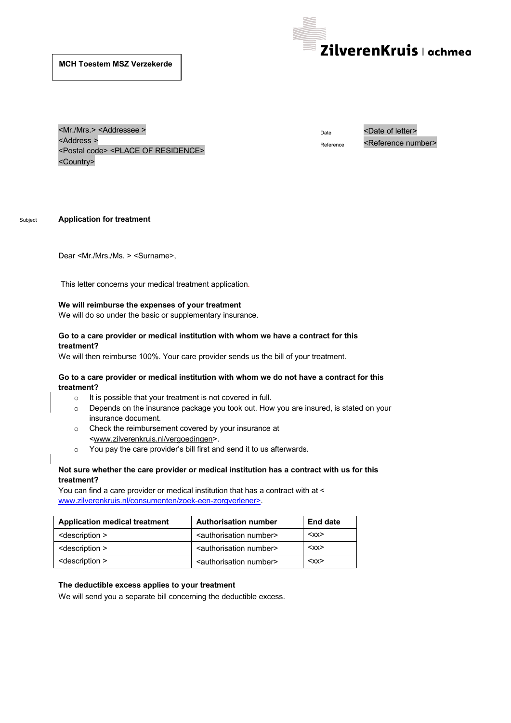

<Mr./Mrs.> <Addressee > <Address > <Postal code> <PLACE OF RESIDENCE> <Country>

Date <Date of letter> Reference <Reference number>

Subject **Application for treatment**

Dear <Mr./Mrs./Ms. > <Surname>,

This letter concerns your medical treatment application.

### **We will reimburse the expenses of your treatment**

We will do so under the basic or supplementary insurance.

### **Go to a care provider or medical institution with whom we have a contract for this treatment?**

We will then reimburse 100%. Your care provider sends us the bill of your treatment.

### **Go to a care provider or medical institution with whom we do not have a contract for this treatment?**

- o It is possible that your treatment is not covered in full.
- o Depends on the insurance package you took out. How you are insured, is stated on your insurance document.
- o Check the reimbursement covered by your insurance at <www.zilverenkruis.nl/vergoedingen>.
- o You pay the care providerís bill first and send it to us afterwards.

## **Not sure whether the care provider or medical institution has a contract with us for this treatment?**

You can find a care provider or medical institution that has a contract with at < www.zilverenkruis.nl/consumenten/zoek-een-zorgverlener>.

| <b>Application medical treatment</b> | <b>Authorisation number</b>               | <b>End date</b> |
|--------------------------------------|-------------------------------------------|-----------------|
| <description></description>          | <authorisation number=""></authorisation> | $<$ XX $>$      |
| <description></description>          | <authorisation number=""></authorisation> | $<$ XX $>$      |
| <description></description>          | <authorisation number=""></authorisation> | $<$ XX $>$      |

### **The deductible excess applies to your treatment**

We will send you a separate bill concerning the deductible excess.